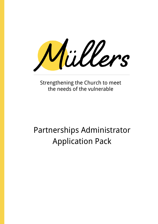Müllers

Strengthening the Church to meet the needs of the vulnerable

# Partnerships Administrator Application Pack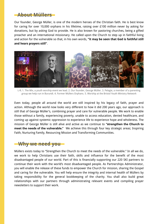## **About Müllers**

Our founder, George Müller, is one of the modern heroes of the Christian faith. He is best know for caring for over 10,000 orphans in his lifetime, raising over £100 million never by asking for donations, but by asking God to provide. He is also known for pastoring churches, being a gifted preacher and an international missionary. He called upon the Church to step up in faithful living and action for the vulnerable so that, in his own words, **"it may be seen that God is faithful still and hears prayers still"**.



L-R; 1. The Mix, a youth worship event we lead. 2. Our founder, George Müller. 3. Pelagie, a member of a parenting group we help run in Burundi. 4. Former Müllers Orphans. 5. Worship at the Bristol Youth Ministry Network

Even today, people all around the world are still inspired by his legacy of faith, prayer and action. Although the world now looks very different to how it did 200 years ago, our approach is still that of George Müller's, combining prayer and care for vulnerable people. We work to enable those without a family, experiencing poverty, unable to access education, denied healthcare, and coming up against systemic oppression to experience life to experience hope and wholeness. The mission of George Müller is still alive and active as we continue to **"strengthen the Church to meet the needs of the vulnerable."** We achieve this through four key strategic areas; Inspiring Faith, Nurturing Family, Resourcing Mission and Transforming Communities.

### **Why we need you**

Müllers exists today to "Strengthen the Church to meet the needs of the vulnerable." In all we do, we work to help Christians use their faith, skills and influence for the benefit of the most disadvantaged people of our world. Part of this is financially supporting our 220 SKI partners to continue their work with the world's most disadvantaged people. As Partnerships Administrator, you will enable the release of these funds to empower the Church for mission, sharing the Gospel and caring for the vulnerable. You will help ensure the integrity and internal health of Müllers by taking responsibility for the general bookkeeping of the charity. You shall also build great relationships with our partners through administrating relevant events and compiling prayer newsletters to support their work.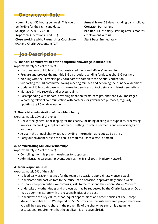# **Overview of Role**

**Hours:** 5 days (35 hours) per week. This could be flexible for the right candidate. **Salary:** £20,500 - £24,500 **Report to:** Operations Lead (OL) **Close working with:** Partnerships Coordinator (PC) and Charity Accountant (CA)

**Annual leave:** 33 days including bank holidays **Contract:** Permanent **Pension:** 6% of salary, starting after 3 months employment with us. **Start Date:** Immediately

# **Job Description**

### **1. Financial administration of the Scriptural Knowledge Institute (SKI)**

(Approximately 50% of the role)

- Log donations to Müllers for both restricted funds and Müllers' general fund
- Prepare and process the monthly SKI distribution, sending funds to global SKI partners
- Working with the Partnerships Coordinator to complete the Annual Verification
- Supporting the SKI committee, taking meeting minutes and actioning their financial decisions
- Updating Müllers database with information, such as contact details and latest newsletters
- Manage Gift Aid records and process claims
- Corresponding with donors, providing donation forms, receipts, and thank you messages
- Recording relevant communication with partners for governance purposes, regularly updating the PC on developments.

### **2. Financial administration of the wider charity**

(Approximately 20% of the role)

- Deliver the general bookkeeping for the charity, including dealing with suppliers, processing invoices, reconciling supplier statements, setting up online payments and reconciling bank accounts
- Assist in the annual charity audit, providing information as requested by the CA
- Carry out payment runs to the bank as required (Once a week at most)

### **3. Administrating Müllers Partnerships**

(Approximately 25% of the role)

- Compiling monthly prayer newsletter to supporters
- Administrating partnership events such as the Bristol Youth Ministry Network

### **4. Team responsibilities**

(Approximately 5% of the role)

- To lead daily prayer meetings for the team on occasion, approximately once a week
- To welcome and host visitors to the museum on occasion, approximately once a week
- To share reception duties, welcoming guests to the trust and the George Müller Museum
- Undertake any other duties and projects as may be requested by the Charity Leader or OL as may be commensurate with the responsibilities of the post
- To work with the key values, ethos, equal opportunities and other policies of The George Müller Charitable Trust. We depend on God's provision, through answered prayer, therefore you will be required to share in the prayer life of the charity. As such, it is a genuine occupational requirement that the applicant is an active Christian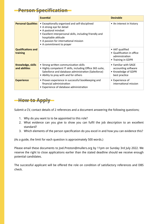# **Person Specification-**

|                                           | <b>Essential</b>                                                                                                                                                                                                                                            | <b>Desirable</b>                                                                     |
|-------------------------------------------|-------------------------------------------------------------------------------------------------------------------------------------------------------------------------------------------------------------------------------------------------------------|--------------------------------------------------------------------------------------|
| <b>Personal Qualities</b>                 | • Exceptionally organised and self-disciplined<br>• A strong eye for detail<br>• A pastoral mindset<br>• Excellent interpersonal skills, including friendly and<br>hospitable attitude<br>• A passion for international mission<br>• A commitment to prayer | • An interest in history                                                             |
| <b>Qualifications and</b><br>training     |                                                                                                                                                                                                                                                             | • AAT qualified<br>• Qualification in office<br>administration<br>• Training in GDPR |
| <b>Knowledge, skills</b><br>and abilities | • Strong written communication skills<br>• Highly competent IT skills, including Office 365 suite,<br>Salesforce and database administration (Salesforce)<br>• Ability to pray with and for others                                                          | • Familiar with SAGE<br>accounting software<br>• Knowledge of GDPR<br>best practice  |
| <b>Experience</b>                         | • Proven experience in successful bookkeeping and<br>financial administration<br>• Experience of database administration                                                                                                                                    | • Experience of<br>international mission                                             |

# **How to Apply**

Submit a CV, contact details of 2 references and a document answering the following questions;

- 1. Why do you want to to be appointed to this role?
- 2. What evidence can you give to show you can fulfil the job description to an excellent standard?
- 3. Which elements of the person specification do you excel in and how you can evidence this?

(As a guide, the limit for each question is approximately 500 words.)

Please email these documents to Joel.Preston@mullers.org by 11pm on Sunday 3rd July 2022. We reserve the right to close applications earlier than the stated deadline should we receive enough potential candidates.

The successful applicant will be offered the role on condition of satisfactory references and DBS check.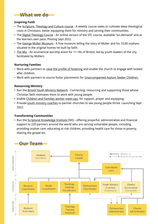### **What we do**

### **Inspiring Faith**

- The Scripture, Theology and Culture course A weekly course seeks to cultivate deep theological roots in Christians, better equipping them for ministry and serving their communities.
- The Digital Theology Course An online version of the STC course, available "on-demand" and at the learners own pace. Piloting Sept 2022.
- The George Müller Museum A free museum telling the story of Müller and his 10,00 orphans situated in the original homes he built by faith.
- The Mix An ecumenical worship event for 11-18s of Bristol, led by youth leaders of the city, facilitated by Müllers.

### **Nurturing Families**

- Work with partners to raise the profile of fostering and enable the church to engage with looked after children.
- Work with partners to source foster placements for Unaccompanied Asylum Seeker Children.

### **Resourcing Ministry**

- Run the Bristol Youth Ministry Network Connecting, resourcing and supporting those whose Christian faith motivates them to work with young people.
- Enable Children and Families worker meet-ups, for support, prayer and equipping.
- Provide youth ministry coaches to partner churches to see young people thrive. Launching Sept 2022.

### **Transforming Communities**

• Run the Scriptural Knowledge Institute (SKI) - offering prayerful, administrative and financial support to 220 partners around the world who are serving vulnerable people, including, providing orphan care, educating at risk children, providing health care for those in poverty, sharing the gospel etc.